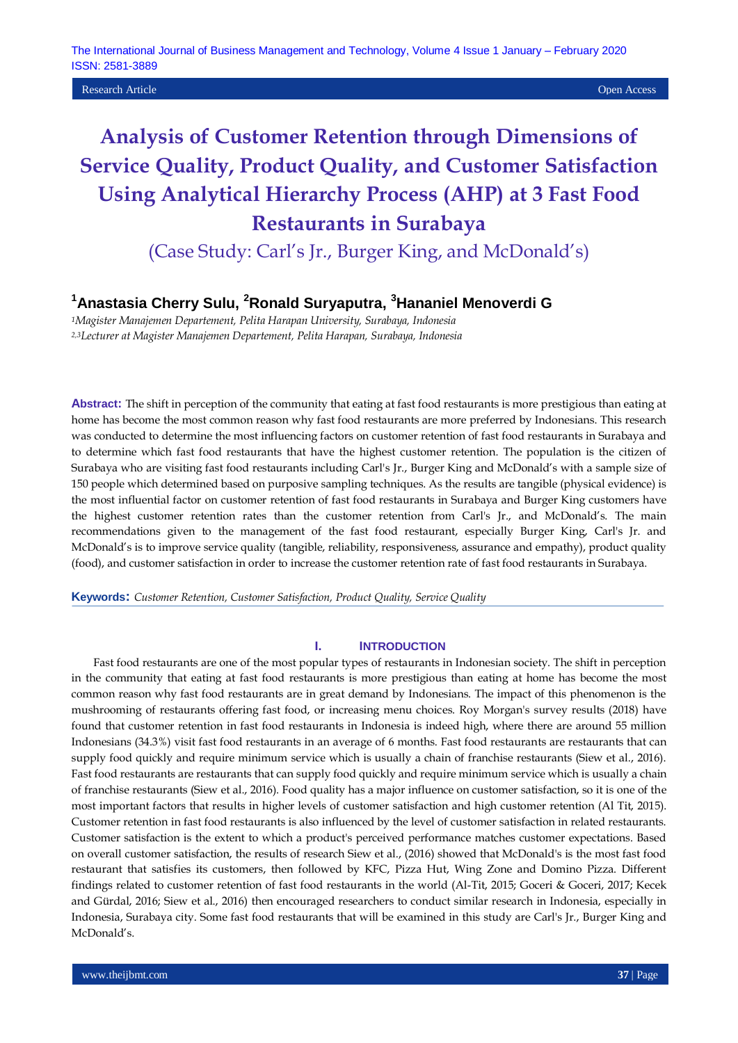The International Journal of Business Management and Technology, Volume 4 Issue 1 January – February 2020 ISSN: 2581-3889

**Research Article Open Access Open Access Open Access Open Access Open Access Open Access Open Access Open Access** 

# **Analysis of Customer Retention through Dimensions of Service Quality, Product Quality, and Customer Satisfaction Using Analytical Hierarchy Process (AHP) at 3 Fast Food Restaurants in Surabaya**

(Case Study: Carl's Jr., Burger King, and McDonald's)

# **<sup>1</sup>Anastasia Cherry Sulu, <sup>2</sup>Ronald Suryaputra, <sup>3</sup>Hananiel Menoverdi G**

*<sup>1</sup>Magister Manajemen Departement, Pelita Harapan University, Surabaya, Indonesia 2,3Lecturer at Magister Manajemen Departement, Pelita Harapan, Surabaya, Indonesia*

**Abstract:** The shift in perception of the community that eating at fast food restaurants is more prestigious than eating at home has become the most common reason why fast food restaurants are more preferred by Indonesians. This research was conducted to determine the most influencing factors on customer retention of fast food restaurants in Surabaya and to determine which fast food restaurants that have the highest customer retention. The population is the citizen of Surabaya who are visiting fast food restaurants including Carl's Jr., Burger King and McDonald's with a sample size of 150 people which determined based on purposive sampling techniques. As the results are tangible (physical evidence) is the most influential factor on customer retention of fast food restaurants in Surabaya and Burger King customers have the highest customer retention rates than the customer retention from Carl's Jr., and McDonald's. The main recommendations given to the management of the fast food restaurant, especially Burger King, Carl's Jr. and McDonald's is to improve service quality (tangible, reliability, responsiveness, assurance and empathy), product quality (food), and customer satisfaction in order to increase the customer retention rate of fast food restaurants in Surabaya.

**Keywords:** *Customer Retention, Customer Satisfaction, Product Quality, Service Quality*

#### **I. INTRODUCTION**

Fast food restaurants are one of the most popular types of restaurants in Indonesian society. The shift in perception in the community that eating at fast food restaurants is more prestigious than eating at home has become the most common reason why fast food restaurants are in great demand by Indonesians. The impact of this phenomenon is the mushrooming of restaurants offering fast food, or increasing menu choices. Roy Morgan's survey results (2018) have found that customer retention in fast food restaurants in Indonesia is indeed high, where there are around 55 million Indonesians (34.3%) visit fast food restaurants in an average of 6 months. Fast food restaurants are restaurants that can supply food quickly and require minimum service which is usually a chain of franchise restaurants (Siew et al., 2016). Fast food restaurants are restaurants that can supply food quickly and require minimum service which is usually a chain of franchise restaurants (Siew et al., 2016). Food quality has a major influence on customer satisfaction, so it is one of the most important factors that results in higher levels of customer satisfaction and high customer retention (Al Tit, 2015). Customer retention in fast food restaurants is also influenced by the level of customer satisfaction in related restaurants. Customer satisfaction is the extent to which a product's perceived performance matches customer expectations. Based on overall customer satisfaction, the results of research Siew et al., (2016) showed that McDonald's is the most fast food restaurant that satisfies its customers, then followed by KFC, Pizza Hut, Wing Zone and Domino Pizza. Different findings related to customer retention of fast food restaurants in the world (Al-Tit, 2015; Goceri & Goceri, 2017; Kecek and Gürdal, 2016; Siew et al., 2016) then encouraged researchers to conduct similar research in Indonesia, especially in Indonesia, Surabaya city. Some fast food restaurants that will be examined in this study are Carl's Jr., Burger King and McDonald's.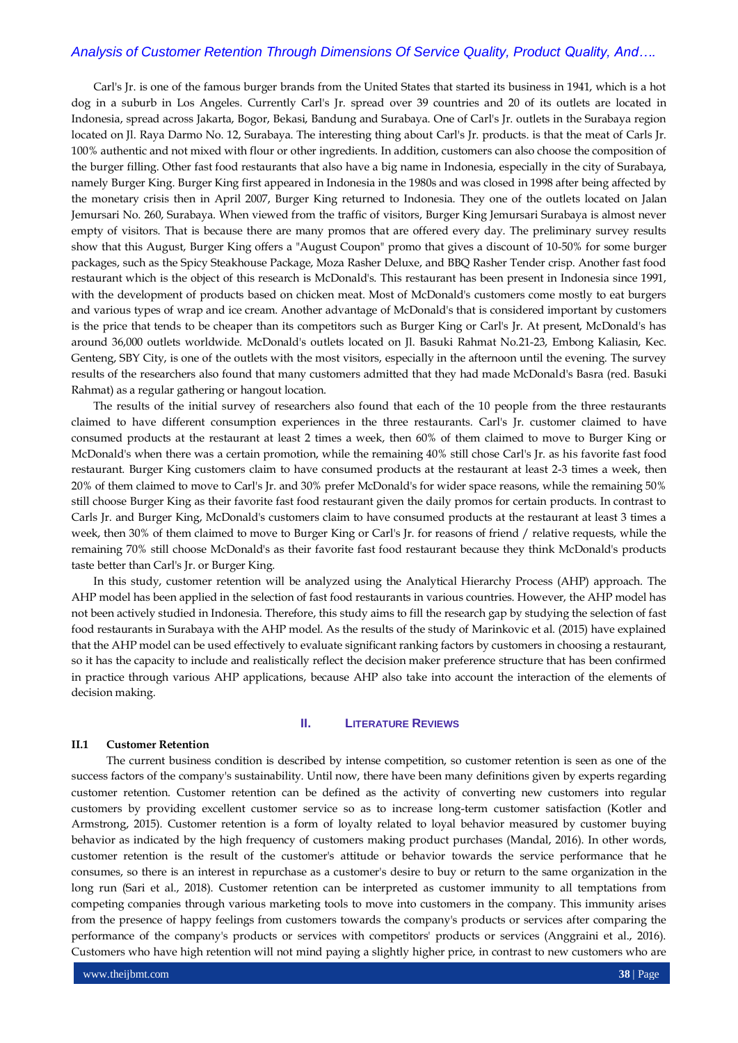# *Analysis of Customer Retention Through Dimensions Of Service Quality, Product Quality, And….*

Carl's Jr. is one of the famous burger brands from the United States that started its business in 1941, which is a hot dog in a suburb in Los Angeles. Currently Carl's Jr. spread over 39 countries and 20 of its outlets are located in Indonesia, spread across Jakarta, Bogor, Bekasi, Bandung and Surabaya. One of Carl's Jr. outlets in the Surabaya region located on Jl. Raya Darmo No. 12, Surabaya. The interesting thing about Carl's Jr. products. is that the meat of Carls Jr. 100% authentic and not mixed with flour or other ingredients. In addition, customers can also choose the composition of the burger filling. Other fast food restaurants that also have a big name in Indonesia, especially in the city of Surabaya, namely Burger King. Burger King first appeared in Indonesia in the 1980s and was closed in 1998 after being affected by the monetary crisis then in April 2007, Burger King returned to Indonesia. They one of the outlets located on Jalan Jemursari No. 260, Surabaya. When viewed from the traffic of visitors, Burger King Jemursari Surabaya is almost never empty of visitors. That is because there are many promos that are offered every day. The preliminary survey results show that this August, Burger King offers a "August Coupon" promo that gives a discount of 10-50% for some burger packages, such as the Spicy Steakhouse Package, Moza Rasher Deluxe, and BBQ Rasher Tender crisp. Another fast food restaurant which is the object of this research is McDonald's. This restaurant has been present in Indonesia since 1991, with the development of products based on chicken meat. Most of McDonald's customers come mostly to eat burgers and various types of wrap and ice cream. Another advantage of McDonald's that is considered important by customers is the price that tends to be cheaper than its competitors such as Burger King or Carl's Jr. At present, McDonald's has around 36,000 outlets worldwide. McDonald's outlets located on Jl. Basuki Rahmat No.21-23, Embong Kaliasin, Kec. Genteng, SBY City, is one of the outlets with the most visitors, especially in the afternoon until the evening. The survey results of the researchers also found that many customers admitted that they had made McDonald's Basra (red. Basuki Rahmat) as a regular gathering or hangout location.

The results of the initial survey of researchers also found that each of the 10 people from the three restaurants claimed to have different consumption experiences in the three restaurants. Carl's Jr. customer claimed to have consumed products at the restaurant at least 2 times a week, then 60% of them claimed to move to Burger King or McDonald's when there was a certain promotion, while the remaining 40% still chose Carl's Jr. as his favorite fast food restaurant. Burger King customers claim to have consumed products at the restaurant at least 2-3 times a week, then 20% of them claimed to move to Carl's Jr. and 30% prefer McDonald's for wider space reasons, while the remaining 50% still choose Burger King as their favorite fast food restaurant given the daily promos for certain products. In contrast to Carls Jr. and Burger King, McDonald's customers claim to have consumed products at the restaurant at least 3 times a week, then 30% of them claimed to move to Burger King or Carl's Jr. for reasons of friend / relative requests, while the remaining 70% still choose McDonald's as their favorite fast food restaurant because they think McDonald's products taste better than Carl's Jr. or Burger King.

In this study, customer retention will be analyzed using the Analytical Hierarchy Process (AHP) approach. The AHP model has been applied in the selection of fast food restaurants in various countries. However, the AHP model has not been actively studied in Indonesia. Therefore, this study aims to fill the research gap by studying the selection of fast food restaurants in Surabaya with the AHP model. As the results of the study of Marinkovic et al. (2015) have explained that the AHP model can be used effectively to evaluate significant ranking factors by customers in choosing a restaurant, so it has the capacity to include and realistically reflect the decision maker preference structure that has been confirmed in practice through various AHP applications, because AHP also take into account the interaction of the elements of decision making.

#### **II. LITERATURE REVIEWS**

# **II.1 Customer Retention**

The current business condition is described by intense competition, so customer retention is seen as one of the success factors of the company's sustainability. Until now, there have been many definitions given by experts regarding customer retention. Customer retention can be defined as the activity of converting new customers into regular customers by providing excellent customer service so as to increase long-term customer satisfaction (Kotler and Armstrong, 2015). Customer retention is a form of loyalty related to loyal behavior measured by customer buying behavior as indicated by the high frequency of customers making product purchases (Mandal, 2016). In other words, customer retention is the result of the customer's attitude or behavior towards the service performance that he consumes, so there is an interest in repurchase as a customer's desire to buy or return to the same organization in the long run (Sari et al., 2018). Customer retention can be interpreted as customer immunity to all temptations from competing companies through various marketing tools to move into customers in the company. This immunity arises from the presence of happy feelings from customers towards the company's products or services after comparing the performance of the company's products or services with competitors' products or services (Anggraini et al., 2016). Customers who have high retention will not mind paying a slightly higher price, in contrast to new customers who are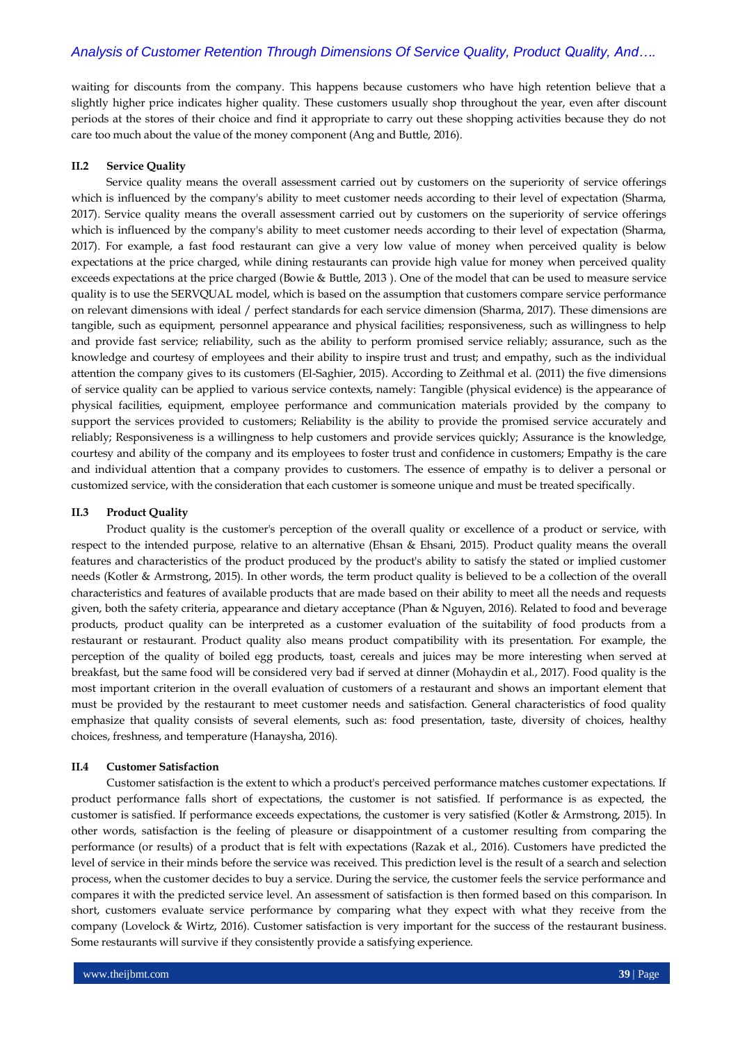# *Analysis of Customer Retention Through Dimensions Of Service Quality, Product Quality, And….*

waiting for discounts from the company. This happens because customers who have high retention believe that a slightly higher price indicates higher quality. These customers usually shop throughout the year, even after discount periods at the stores of their choice and find it appropriate to carry out these shopping activities because they do not care too much about the value of the money component (Ang and Buttle, 2016).

#### **II.2 Service Quality**

Service quality means the overall assessment carried out by customers on the superiority of service offerings which is influenced by the company's ability to meet customer needs according to their level of expectation (Sharma, 2017). Service quality means the overall assessment carried out by customers on the superiority of service offerings which is influenced by the company's ability to meet customer needs according to their level of expectation (Sharma, 2017). For example, a fast food restaurant can give a very low value of money when perceived quality is below expectations at the price charged, while dining restaurants can provide high value for money when perceived quality exceeds expectations at the price charged (Bowie & Buttle, 2013 ). One of the model that can be used to measure service quality is to use the SERVQUAL model, which is based on the assumption that customers compare service performance on relevant dimensions with ideal / perfect standards for each service dimension (Sharma, 2017). These dimensions are tangible, such as equipment, personnel appearance and physical facilities; responsiveness, such as willingness to help and provide fast service; reliability, such as the ability to perform promised service reliably; assurance, such as the knowledge and courtesy of employees and their ability to inspire trust and trust; and empathy, such as the individual attention the company gives to its customers (El-Saghier, 2015). According to Zeithmal et al. (2011) the five dimensions of service quality can be applied to various service contexts, namely: Tangible (physical evidence) is the appearance of physical facilities, equipment, employee performance and communication materials provided by the company to support the services provided to customers; Reliability is the ability to provide the promised service accurately and reliably; Responsiveness is a willingness to help customers and provide services quickly; Assurance is the knowledge, courtesy and ability of the company and its employees to foster trust and confidence in customers; Empathy is the care and individual attention that a company provides to customers. The essence of empathy is to deliver a personal or customized service, with the consideration that each customer is someone unique and must be treated specifically.

#### **II.3 Product Quality**

Product quality is the customer's perception of the overall quality or excellence of a product or service, with respect to the intended purpose, relative to an alternative (Ehsan & Ehsani, 2015). Product quality means the overall features and characteristics of the product produced by the product's ability to satisfy the stated or implied customer needs (Kotler & Armstrong, 2015). In other words, the term product quality is believed to be a collection of the overall characteristics and features of available products that are made based on their ability to meet all the needs and requests given, both the safety criteria, appearance and dietary acceptance (Phan & Nguyen, 2016). Related to food and beverage products, product quality can be interpreted as a customer evaluation of the suitability of food products from a restaurant or restaurant. Product quality also means product compatibility with its presentation. For example, the perception of the quality of boiled egg products, toast, cereals and juices may be more interesting when served at breakfast, but the same food will be considered very bad if served at dinner (Mohaydin et al., 2017). Food quality is the most important criterion in the overall evaluation of customers of a restaurant and shows an important element that must be provided by the restaurant to meet customer needs and satisfaction. General characteristics of food quality emphasize that quality consists of several elements, such as: food presentation, taste, diversity of choices, healthy choices, freshness, and temperature (Hanaysha, 2016).

#### **II.4 Customer Satisfaction**

Customer satisfaction is the extent to which a product's perceived performance matches customer expectations. If product performance falls short of expectations, the customer is not satisfied. If performance is as expected, the customer is satisfied. If performance exceeds expectations, the customer is very satisfied (Kotler & Armstrong, 2015). In other words, satisfaction is the feeling of pleasure or disappointment of a customer resulting from comparing the performance (or results) of a product that is felt with expectations (Razak et al., 2016). Customers have predicted the level of service in their minds before the service was received. This prediction level is the result of a search and selection process, when the customer decides to buy a service. During the service, the customer feels the service performance and compares it with the predicted service level. An assessment of satisfaction is then formed based on this comparison. In short, customers evaluate service performance by comparing what they expect with what they receive from the company (Lovelock & Wirtz, 2016). Customer satisfaction is very important for the success of the restaurant business. Some restaurants will survive if they consistently provide a satisfying experience.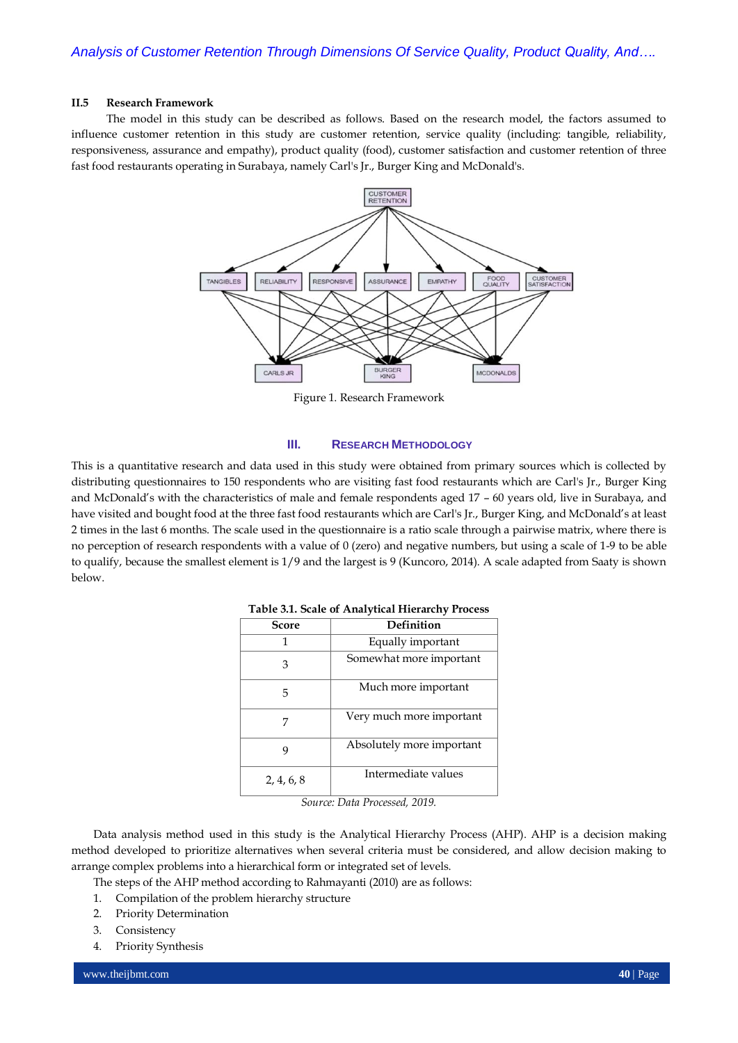# **II.5 Research Framework**

The model in this study can be described as follows. Based on the research model, the factors assumed to influence customer retention in this study are customer retention, service quality (including: tangible, reliability, responsiveness, assurance and empathy), product quality (food), customer satisfaction and customer retention of three fast food restaurants operating in Surabaya, namely Carl's Jr., Burger King and McDonald's.



Figure 1. Research Framework

## **III. RESEARCH METHODOLOGY**

This is a quantitative research and data used in this study were obtained from primary sources which is collected by distributing questionnaires to 150 respondents who are visiting fast food restaurants which are Carl's Jr., Burger King and McDonald's with the characteristics of male and female respondents aged 17 – 60 years old, live in Surabaya, and have visited and bought food at the three fast food restaurants which are Carl's Jr., Burger King, and McDonald's at least 2 times in the last 6 months. The scale used in the questionnaire is a ratio scale through a pairwise matrix, where there is no perception of research respondents with a value of 0 (zero) and negative numbers, but using a scale of 1-9 to be able to qualify, because the smallest element is 1/9 and the largest is 9 (Kuncoro, 2014). A scale adapted from Saaty is shown below.

| Score      | Definition                |
|------------|---------------------------|
| 1          | Equally important         |
| 3          | Somewhat more important   |
| 5          | Much more important       |
|            | Very much more important  |
| q          | Absolutely more important |
| 2, 4, 6, 8 | Intermediate values       |

#### **Table 3.1. Scale of Analytical Hierarchy Process**

*Source: Data Processed, 2019.*

Data analysis method used in this study is the Analytical Hierarchy Process (AHP). AHP is a decision making method developed to prioritize alternatives when several criteria must be considered, and allow decision making to arrange complex problems into a hierarchical form or integrated set of levels.

The steps of the AHP method according to Rahmayanti (2010) are as follows:

- 1. Compilation of the problem hierarchy structure
- 2. Priority Determination
- 3. Consistency
- 4. Priority Synthesis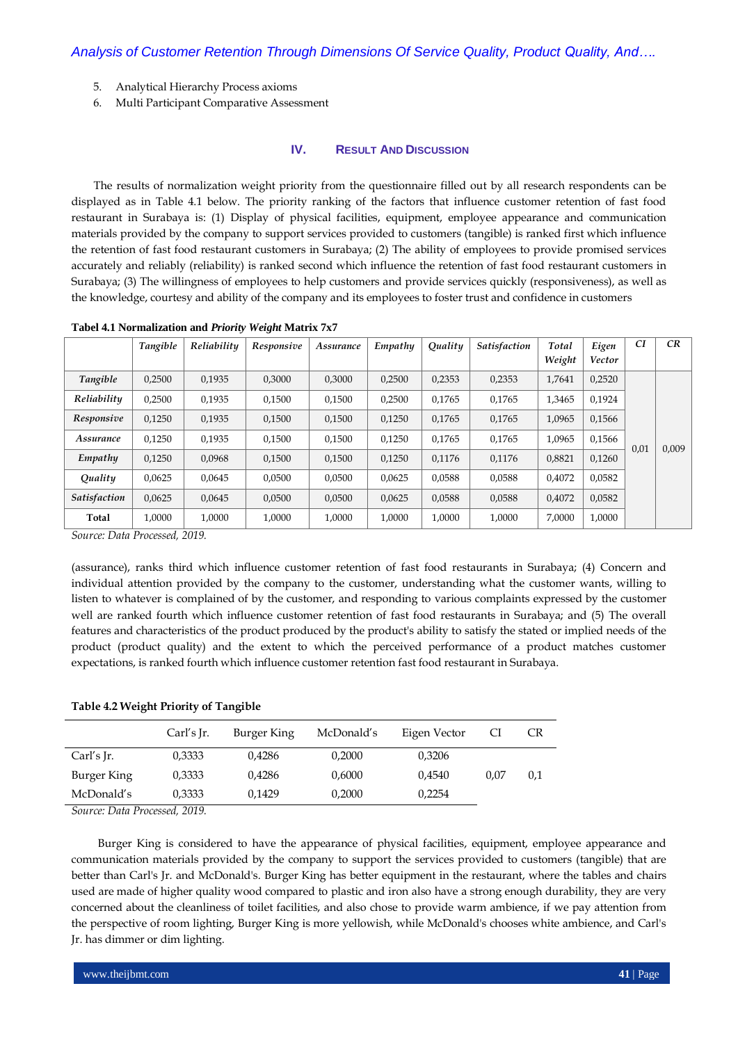- 5. Analytical Hierarchy Process axioms
- 6. Multi Participant Comparative Assessment

# **IV. RESULT AND DISCUSSION**

The results of normalization weight priority from the questionnaire filled out by all research respondents can be displayed as in Table 4.1 below. The priority ranking of the factors that influence customer retention of fast food restaurant in Surabaya is: (1) Display of physical facilities, equipment, employee appearance and communication materials provided by the company to support services provided to customers (tangible) is ranked first which influence the retention of fast food restaurant customers in Surabaya; (2) The ability of employees to provide promised services accurately and reliably (reliability) is ranked second which influence the retention of fast food restaurant customers in Surabaya; (3) The willingness of employees to help customers and provide services quickly (responsiveness), as well as the knowledge, courtesy and ability of the company and its employees to foster trust and confidence in customers

|                     | Tangible | Reliability | Responsive | Assurance | Empathy | Quality | <b>Satisfaction</b> | Total  | Eigen  | CI   | <b>CR</b> |
|---------------------|----------|-------------|------------|-----------|---------|---------|---------------------|--------|--------|------|-----------|
|                     |          |             |            |           |         |         |                     | Weight | Vector |      |           |
| Tangible            | 0,2500   | 0,1935      | 0,3000     | 0.3000    | 0,2500  | 0,2353  | 0,2353              | 1,7641 | 0,2520 |      |           |
| Reliability         | 0,2500   | 0,1935      | 0,1500     | 0,1500    | 0,2500  | 0,1765  | 0,1765              | 1,3465 | 0,1924 |      |           |
| Responsive          | 0,1250   | 0,1935      | 0,1500     | 0,1500    | 0,1250  | 0,1765  | 0,1765              | 1,0965 | 0,1566 |      |           |
| Assurance           | 0,1250   | 0,1935      | 0,1500     | 0,1500    | 0,1250  | 0,1765  | 0,1765              | 1.0965 | 0,1566 | 0,01 | 0,009     |
| Empathy             | 0,1250   | 0.0968      | 0,1500     | 0.1500    | 0,1250  | 0.1176  | 0,1176              | 0,8821 | 0.1260 |      |           |
| Quality             | 0,0625   | 0.0645      | 0.0500     | 0.0500    | 0.0625  | 0,0588  | 0,0588              | 0.4072 | 0,0582 |      |           |
| <b>Satisfaction</b> | 0,0625   | 0,0645      | 0,0500     | 0,0500    | 0,0625  | 0,0588  | 0,0588              | 0,4072 | 0,0582 |      |           |
| Total               | 1,0000   | 1,0000<br>. | 1.0000     | 1,0000    | 1,0000  | 1,0000  | 1,0000              | 7.0000 | 1,0000 |      |           |

**Tabel 4.1 Normalization and** *Priority Weight* **Matrix 7x7**

*Source: Data Processed, 2019.*

(assurance), ranks third which influence customer retention of fast food restaurants in Surabaya; (4) Concern and individual attention provided by the company to the customer, understanding what the customer wants, willing to listen to whatever is complained of by the customer, and responding to various complaints expressed by the customer well are ranked fourth which influence customer retention of fast food restaurants in Surabaya; and (5) The overall features and characteristics of the product produced by the product's ability to satisfy the stated or implied needs of the product (product quality) and the extent to which the perceived performance of a product matches customer expectations, is ranked fourth which influence customer retention fast food restaurant in Surabaya.

#### **Table 4.2 Weight Priority of Tangible**

|             | Carl's Ir. | Burger King | McDonald's | Eigen Vector |      | CR  |
|-------------|------------|-------------|------------|--------------|------|-----|
| Carl's Ir.  | 0,3333     | 0.4286      | 0,2000     | 0,3206       |      |     |
| Burger King | 0,3333     | 0,4286      | 0,6000     | 0.4540       | 0.07 | 0.1 |
| McDonald's  | 0,3333     | 0.1429      | 0,2000     | 0,2254       |      |     |

*Source: Data Processed, 2019.*

Burger King is considered to have the appearance of physical facilities, equipment, employee appearance and communication materials provided by the company to support the services provided to customers (tangible) that are better than Carl's Jr. and McDonald's. Burger King has better equipment in the restaurant, where the tables and chairs used are made of higher quality wood compared to plastic and iron also have a strong enough durability, they are very concerned about the cleanliness of toilet facilities, and also chose to provide warm ambience, if we pay attention from the perspective of room lighting, Burger King is more yellowish, while McDonald's chooses white ambience, and Carl's Jr. has dimmer or dim lighting.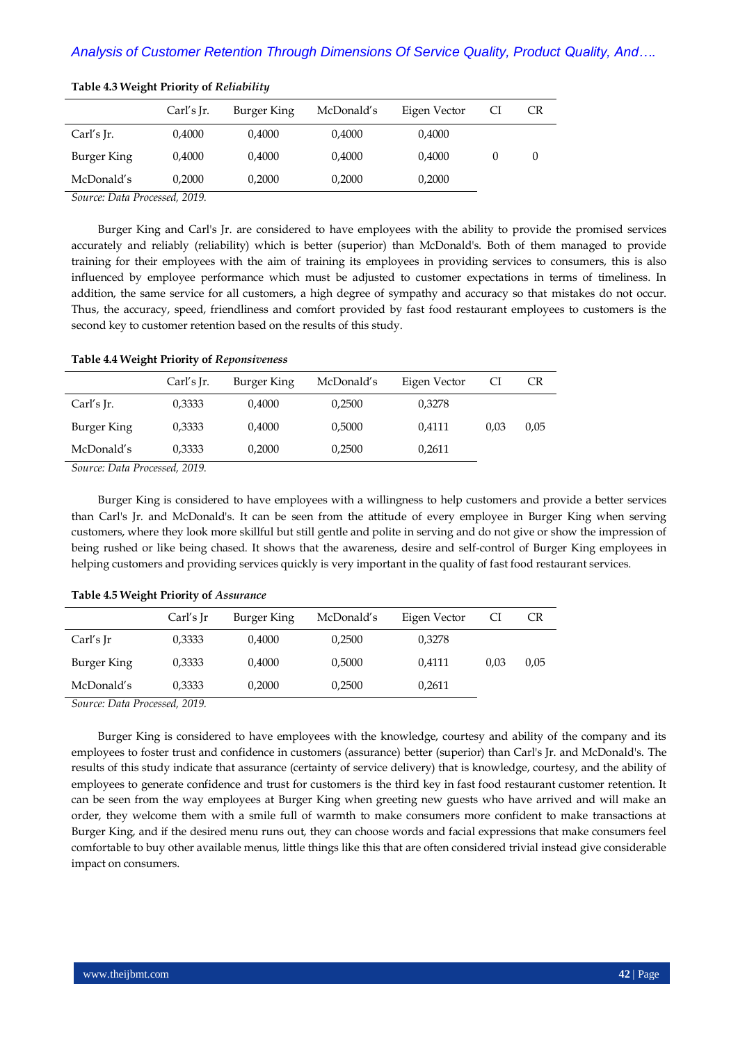|             | Carl's $Ir.$ | Burger King | McDonald's | Eigen Vector | CI | CR |
|-------------|--------------|-------------|------------|--------------|----|----|
| Carl's Jr.  | 0,4000       | 0,4000      | 0,4000     | 0,4000       |    |    |
| Burger King | 0,4000       | 0,4000      | 0,4000     | 0,4000       | 0  | U  |
| McDonald's  | 0.2000       | 0,2000      | 0,2000     | 0,2000       |    |    |

# **Table 4.3 Weight Priority of** *Reliability*

*Source: Data Processed, 2019.*

Burger King and Carl's Jr. are considered to have employees with the ability to provide the promised services accurately and reliably (reliability) which is better (superior) than McDonald's. Both of them managed to provide training for their employees with the aim of training its employees in providing services to consumers, this is also influenced by employee performance which must be adjusted to customer expectations in terms of timeliness. In addition, the same service for all customers, a high degree of sympathy and accuracy so that mistakes do not occur. Thus, the accuracy, speed, friendliness and comfort provided by fast food restaurant employees to customers is the second key to customer retention based on the results of this study.

# **Table 4.4 Weight Priority of** *Reponsiveness*

|             | Carl's Ir. | Burger King | McDonald's | Eigen Vector |      | CR   |
|-------------|------------|-------------|------------|--------------|------|------|
| Carl's Ir.  | 0.3333     | 0,4000      | 0.2500     | 0.3278       |      |      |
| Burger King | 0,3333     | 0,4000      | 0,5000     | 0,4111       | 0.03 | 0,05 |
| McDonald's  | 0,3333     | 0,2000      | 0,2500     | 0,2611       |      |      |

*Source: Data Processed, 2019.*

Burger King is considered to have employees with a willingness to help customers and provide a better services than Carl's Jr. and McDonald's. It can be seen from the attitude of every employee in Burger King when serving customers, where they look more skillful but still gentle and polite in serving and do not give or show the impression of being rushed or like being chased. It shows that the awareness, desire and self-control of Burger King employees in helping customers and providing services quickly is very important in the quality of fast food restaurant services.

|             | Carl's Ir | Burger King | McDonald's | Eigen Vector |      | CR   |
|-------------|-----------|-------------|------------|--------------|------|------|
| Carl's Jr   | 0,3333    | 0,4000      | 0,2500     | 0,3278       |      |      |
| Burger King | 0,3333    | 0,4000      | 0,5000     | 0,4111       | 0.03 | 0.05 |
| McDonald's  | 0,3333    | 0,2000      | 0,2500     | 0,2611       |      |      |

#### **Table 4.5 Weight Priority of** *Assurance*

*Source: Data Processed, 2019.*

Burger King is considered to have employees with the knowledge, courtesy and ability of the company and its employees to foster trust and confidence in customers (assurance) better (superior) than Carl's Jr. and McDonald's. The results of this study indicate that assurance (certainty of service delivery) that is knowledge, courtesy, and the ability of employees to generate confidence and trust for customers is the third key in fast food restaurant customer retention. It can be seen from the way employees at Burger King when greeting new guests who have arrived and will make an order, they welcome them with a smile full of warmth to make consumers more confident to make transactions at Burger King, and if the desired menu runs out, they can choose words and facial expressions that make consumers feel comfortable to buy other available menus, little things like this that are often considered trivial instead give considerable impact on consumers.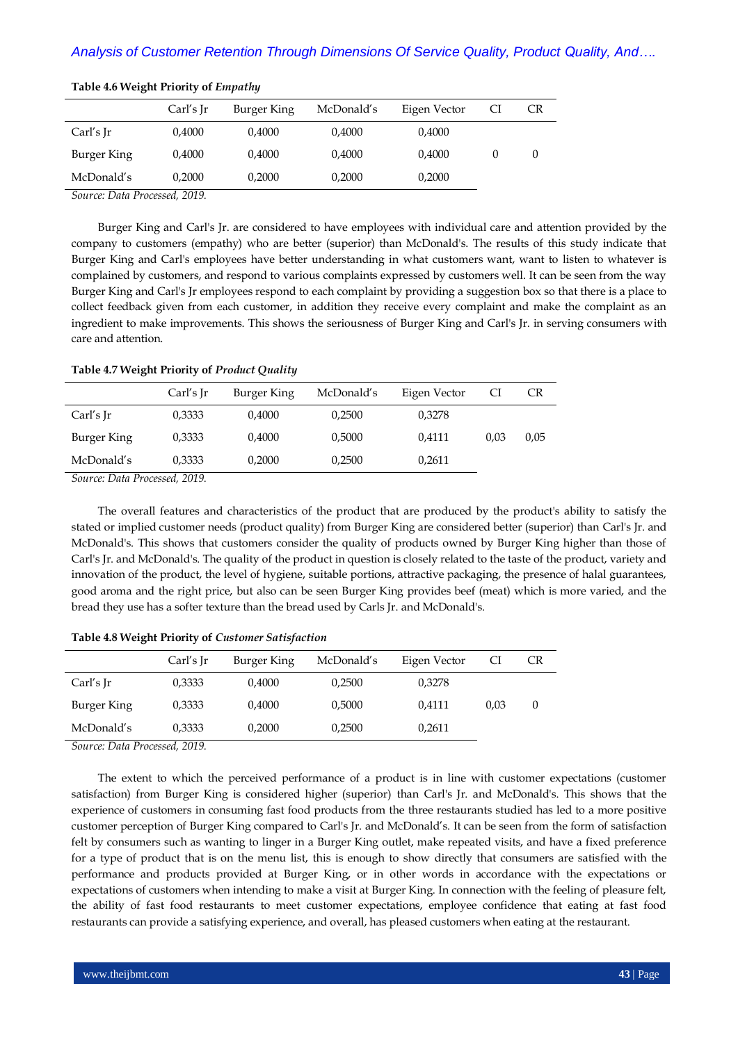|             | Carl's Ir | Burger King | McDonald's | Eigen Vector | CI       | CR |
|-------------|-----------|-------------|------------|--------------|----------|----|
| Carl's Jr   | 0,4000    | 0,4000      | 0.4000     | 0,4000       |          |    |
| Burger King | 0,4000    | 0,4000      | 0,4000     | 0,4000       | $\theta$ | 0  |
| McDonald's  | 0.2000    | 0,2000      | 0.2000     | 0,2000       |          |    |

# **Table 4.6 Weight Priority of** *Empathy*

*Source: Data Processed, 2019.*

Burger King and Carl's Jr. are considered to have employees with individual care and attention provided by the company to customers (empathy) who are better (superior) than McDonald's. The results of this study indicate that Burger King and Carl's employees have better understanding in what customers want, want to listen to whatever is complained by customers, and respond to various complaints expressed by customers well. It can be seen from the way Burger King and Carl's Jr employees respond to each complaint by providing a suggestion box so that there is a place to collect feedback given from each customer, in addition they receive every complaint and make the complaint as an ingredient to make improvements. This shows the seriousness of Burger King and Carl's Jr. in serving consumers with care and attention.

# **Table 4.7 Weight Priority of** *Product Quality*

|             | Carl's Ir | Burger King | McDonald's | Eigen Vector |      | CR   |
|-------------|-----------|-------------|------------|--------------|------|------|
| Carl's Ir   | 0.3333    | 0,4000      | 0,2500     | 0.3278       |      |      |
| Burger King | 0,3333    | 0,4000      | 0.5000     | 0,4111       | 0.03 | 0,05 |
| McDonald's  | 0.3333    | 0.2000      | 0.2500     | 0.2611       |      |      |

*Source: Data Processed, 2019.*

The overall features and characteristics of the product that are produced by the product's ability to satisfy the stated or implied customer needs (product quality) from Burger King are considered better (superior) than Carl's Jr. and McDonald's. This shows that customers consider the quality of products owned by Burger King higher than those of Carl's Jr. and McDonald's. The quality of the product in question is closely related to the taste of the product, variety and innovation of the product, the level of hygiene, suitable portions, attractive packaging, the presence of halal guarantees, good aroma and the right price, but also can be seen Burger King provides beef (meat) which is more varied, and the bread they use has a softer texture than the bread used by Carls Jr. and McDonald's.

#### **Table 4.8 Weight Priority of** *Customer Satisfaction*

|             | Carl's Ir | Burger King | McDonald's | Eigen Vector | CI   | CR     |
|-------------|-----------|-------------|------------|--------------|------|--------|
| Carl's Ir   | 0,3333    | 0,4000      | 0,2500     | 0,3278       |      |        |
| Burger King | 0,3333    | 0,4000      | 0,5000     | 0,4111       | 0.03 | $\cup$ |
| McDonald's  | 0,3333    | 0,2000      | 0.2500     | 0,2611       |      |        |

*Source: Data Processed, 2019.*

The extent to which the perceived performance of a product is in line with customer expectations (customer satisfaction) from Burger King is considered higher (superior) than Carl's Jr. and McDonald's. This shows that the experience of customers in consuming fast food products from the three restaurants studied has led to a more positive customer perception of Burger King compared to Carl's Jr. and McDonald's. It can be seen from the form of satisfaction felt by consumers such as wanting to linger in a Burger King outlet, make repeated visits, and have a fixed preference for a type of product that is on the menu list, this is enough to show directly that consumers are satisfied with the performance and products provided at Burger King, or in other words in accordance with the expectations or expectations of customers when intending to make a visit at Burger King. In connection with the feeling of pleasure felt, the ability of fast food restaurants to meet customer expectations, employee confidence that eating at fast food restaurants can provide a satisfying experience, and overall, has pleased customers when eating at the restaurant.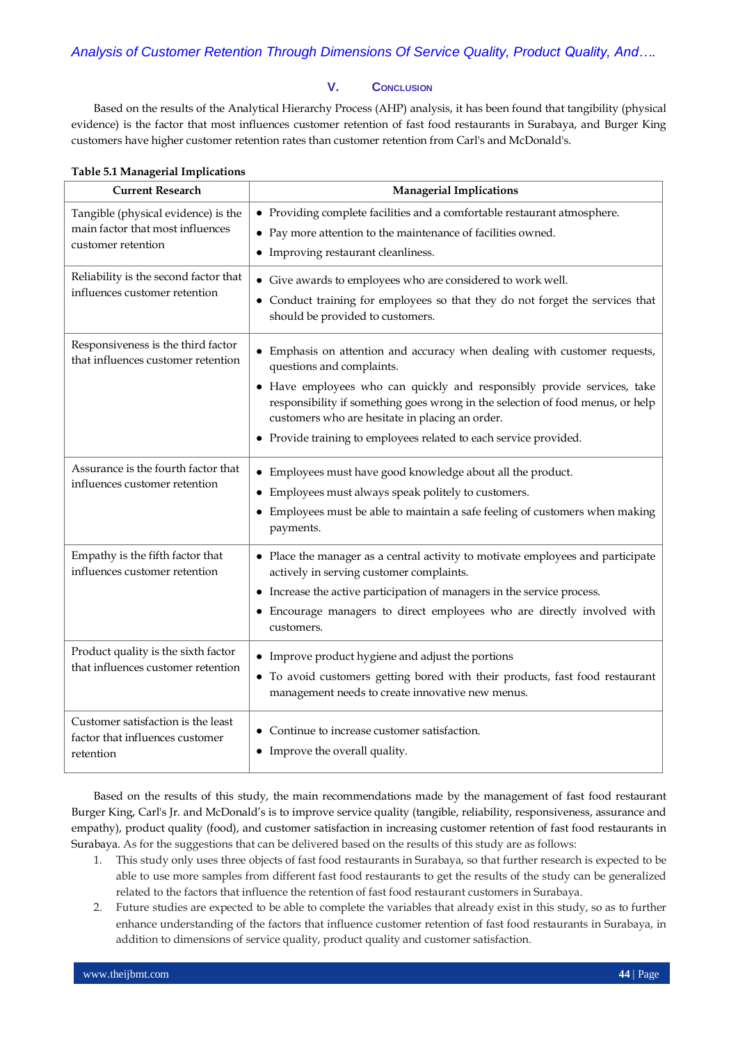# **V. CONCLUSION**

Based on the results of the Analytical Hierarchy Process (AHP) analysis, it has been found that tangibility (physical evidence) is the factor that most influences customer retention of fast food restaurants in Surabaya, and Burger King customers have higher customer retention rates than customer retention from Carl's and McDonald's.

| <b>Current Research</b>                                                                       | <b>Managerial Implications</b>                                                                                                                                                                                                                                                                                                                                                            |
|-----------------------------------------------------------------------------------------------|-------------------------------------------------------------------------------------------------------------------------------------------------------------------------------------------------------------------------------------------------------------------------------------------------------------------------------------------------------------------------------------------|
| Tangible (physical evidence) is the<br>main factor that most influences<br>customer retention | • Providing complete facilities and a comfortable restaurant atmosphere.<br>• Pay more attention to the maintenance of facilities owned.<br>• Improving restaurant cleanliness.                                                                                                                                                                                                           |
| Reliability is the second factor that<br>influences customer retention                        | • Give awards to employees who are considered to work well.<br>• Conduct training for employees so that they do not forget the services that<br>should be provided to customers.                                                                                                                                                                                                          |
| Responsiveness is the third factor<br>that influences customer retention                      | Emphasis on attention and accuracy when dealing with customer requests,<br>questions and complaints.<br>• Have employees who can quickly and responsibly provide services, take<br>responsibility if something goes wrong in the selection of food menus, or help<br>customers who are hesitate in placing an order.<br>• Provide training to employees related to each service provided. |
| Assurance is the fourth factor that<br>influences customer retention                          | • Employees must have good knowledge about all the product.<br>Employees must always speak politely to customers.<br>• Employees must be able to maintain a safe feeling of customers when making<br>payments.                                                                                                                                                                            |
| Empathy is the fifth factor that<br>influences customer retention                             | • Place the manager as a central activity to motivate employees and participate<br>actively in serving customer complaints.<br>• Increase the active participation of managers in the service process.<br>Encourage managers to direct employees who are directly involved with<br>customers.                                                                                             |
| Product quality is the sixth factor<br>that influences customer retention                     | • Improve product hygiene and adjust the portions<br>To avoid customers getting bored with their products, fast food restaurant<br>$\bullet$<br>management needs to create innovative new menus.                                                                                                                                                                                          |
| Customer satisfaction is the least<br>factor that influences customer<br>retention            | • Continue to increase customer satisfaction.<br>• Improve the overall quality.                                                                                                                                                                                                                                                                                                           |

# **Table 5.1 Managerial Implications**

Based on the results of this study, the main recommendations made by the management of fast food restaurant Burger King, Carl's Jr. and McDonald's is to improve service quality (tangible, reliability, responsiveness, assurance and empathy), product quality (food), and customer satisfaction in increasing customer retention of fast food restaurants in Surabaya. As for the suggestions that can be delivered based on the results of this study are as follows:

- 1. This study only uses three objects of fast food restaurants in Surabaya, so that further research is expected to be able to use more samples from different fast food restaurants to get the results of the study can be generalized related to the factors that influence the retention of fast food restaurant customers in Surabaya.
- 2. Future studies are expected to be able to complete the variables that already exist in this study, so as to further enhance understanding of the factors that influence customer retention of fast food restaurants in Surabaya, in addition to dimensions of service quality, product quality and customer satisfaction.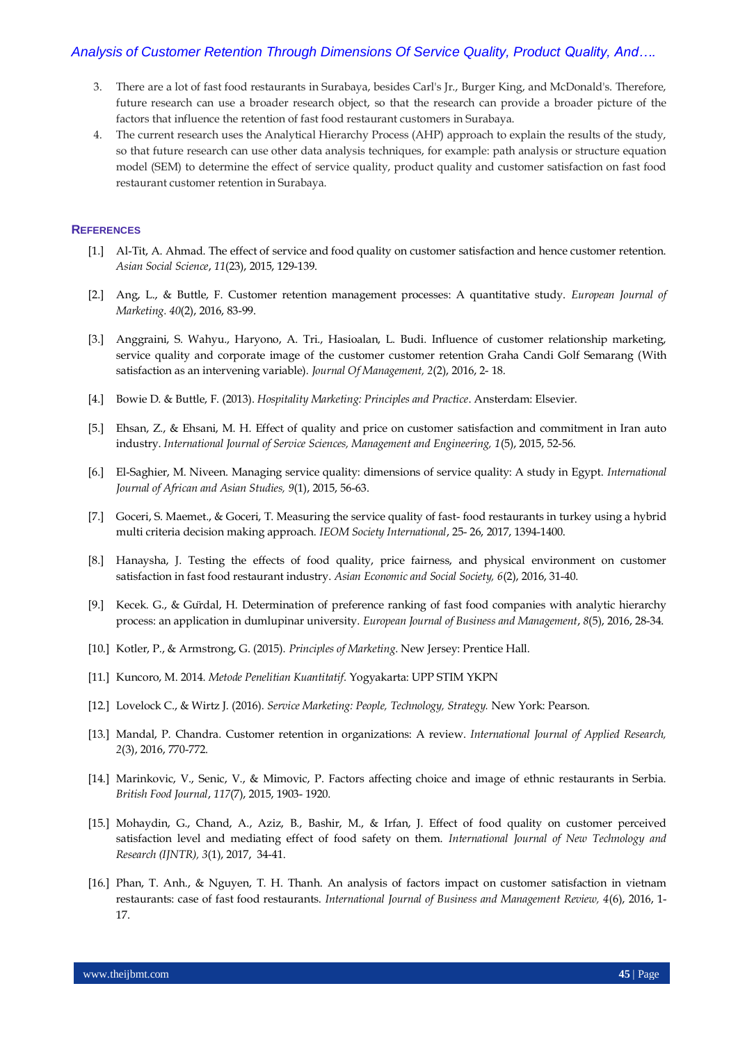# *Analysis of Customer Retention Through Dimensions Of Service Quality, Product Quality, And….*

- 3. There are a lot of fast food restaurants in Surabaya, besides Carl's Jr., Burger King, and McDonald's. Therefore, future research can use a broader research object, so that the research can provide a broader picture of the factors that influence the retention of fast food restaurant customers in Surabaya.
- 4. The current research uses the Analytical Hierarchy Process (AHP) approach to explain the results of the study, so that future research can use other data analysis techniques, for example: path analysis or structure equation model (SEM) to determine the effect of service quality, product quality and customer satisfaction on fast food restaurant customer retention in Surabaya.

#### **REFERENCES**

- [1.] Al-Tit, A. Ahmad. The effect of service and food quality on customer satisfaction and hence customer retention. *Asian Social Science*, *11*(23), 2015, 129-139.
- [2.] Ang, L., & Buttle, F. Customer retention management processes: A quantitative study. *European Journal of Marketing. 40*(2), 2016, 83-99.
- [3.] Anggraini, S. Wahyu., Haryono, A. Tri., Hasioalan, L. Budi. Influence of customer relationship marketing, service quality and corporate image of the customer customer retention Graha Candi Golf Semarang (With satisfaction as an intervening variable). *Journal Of Management, 2*(2), 2016, 2- 18.
- [4.] Bowie D. & Buttle, F. (2013). *Hospitality Marketing: Principles and Practice*. Ansterdam: Elsevier.
- [5.] Ehsan, Z., & Ehsani, M. H. Effect of quality and price on customer satisfaction and commitment in Iran auto industry. *International Journal of Service Sciences, Management and Engineering, 1*(5), 2015, 52-56.
- [6.] El-Saghier, M. Niveen. Managing service quality: dimensions of service quality: A study in Egypt. *International Journal of African and Asian Studies, 9*(1), 2015, 56-63.
- [7.] Goceri, S. Maemet., & Goceri, T. Measuring the service quality of fast- food restaurants in turkey using a hybrid multi criteria decision making approach. *IEOM Society International*, 25- 26, 2017, 1394-1400.
- [8.] Hanaysha, J. Testing the effects of food quality, price fairness, and physical environment on customer satisfaction in fast food restaurant industry. *Asian Economic and Social Society, 6*(2), 2016, 31-40.
- [9.] Kecek. G., & Gürdal, H. Determination of preference ranking of fast food companies with analytic hierarchy process: an application in dumlupinar university. *European Journal of Business and Management*, *8*(5), 2016, 28-34.
- [10.] Kotler, P., & Armstrong, G. (2015). *Principles of Marketing*. New Jersey: Prentice Hall.
- [11.] Kuncoro, M. 2014. *Metode Penelitian Kuantitatif*. Yogyakarta: UPP STIM YKPN
- [12.] Lovelock C., & Wirtz J. (2016). *Service Marketing: People, Technology, Strategy.* New York: Pearson.
- [13.] Mandal, P. Chandra. Customer retention in organizations: A review. *International Journal of Applied Research, 2*(3), 2016, 770-772.
- [14.] Marinkovic, V., Senic, V., & Mimovic, P. Factors affecting choice and image of ethnic restaurants in Serbia. *British Food Journal*, *117*(7), 2015, 1903- 1920.
- [15.] Mohaydin, G., Chand, A., Aziz, B., Bashir, M., & Irfan, J. Effect of food quality on customer perceived satisfaction level and mediating effect of food safety on them. *International Journal of New Technology and Research (IJNTR), 3*(1), 2017, 34-41.
- [16.] Phan, T. Anh., & Nguyen, T. H. Thanh. An analysis of factors impact on customer satisfaction in vietnam restaurants: case of fast food restaurants. *International Journal of Business and Management Review, 4*(6), 2016, 1- 17.